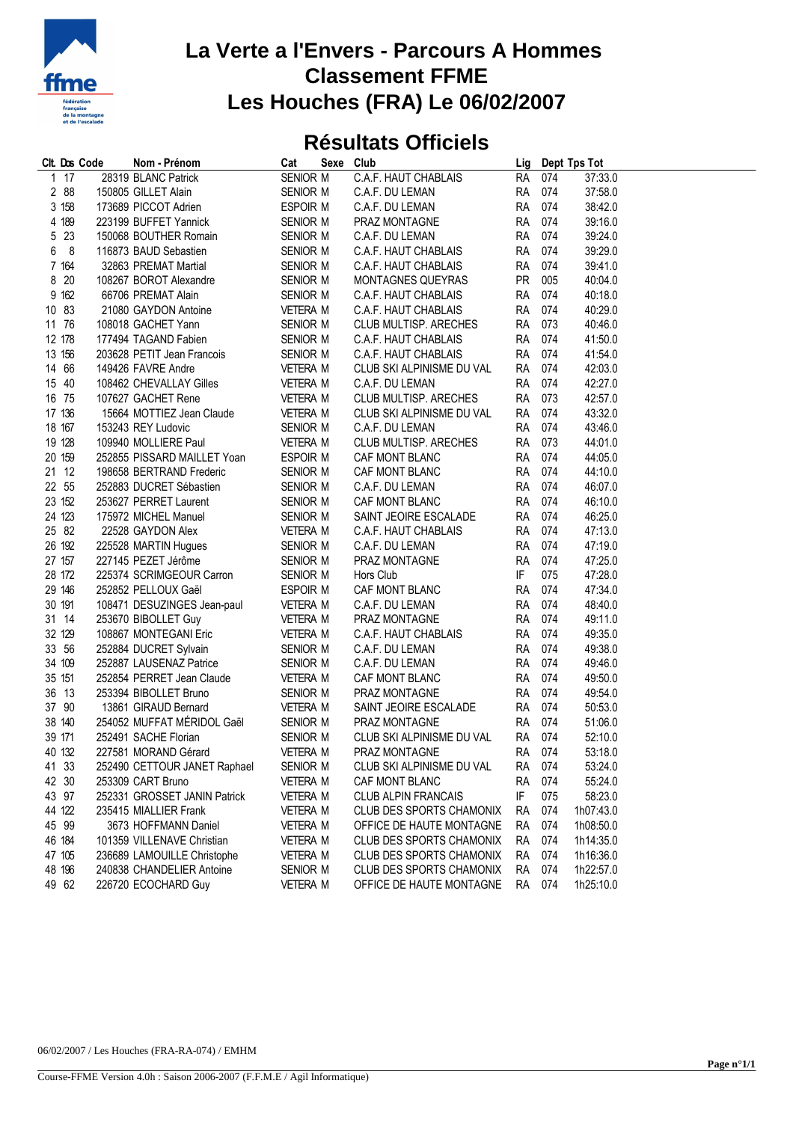

## **La Verte a l'Envers - Parcours A Hommes Classement FFME Les Houches (FRA) Le 06/02/2007**

## **Résultats Officiels**

|   |        | Clt. Dos Code | Nom - Prénom                 | Cat             | Sexe Club |                            |           |     | Lig Dept Tps Tot |
|---|--------|---------------|------------------------------|-----------------|-----------|----------------------------|-----------|-----|------------------|
| 1 | 17     |               | 28319 BLANC Patrick          | SENIOR M        |           | C.A.F. HAUT CHABLAIS       | <b>RA</b> | 074 | 37:33.0          |
|   | 2 88   |               | 150805 GILLET Alain          | SENIOR M        |           | C.A.F. DU LEMAN            | <b>RA</b> | 074 | 37:58.0          |
|   | 3 158  |               | 173689 PICCOT Adrien         | ESPOIR M        |           | C.A.F. DU LEMAN            | RA        | 074 | 38:42.0          |
|   | 4 189  |               | 223199 BUFFET Yannick        | SENIOR M        |           | PRAZ MONTAGNE              | <b>RA</b> | 074 | 39:16.0          |
|   | 5 23   |               | 150068 BOUTHER Romain        | SENIOR M        |           | C.A.F. DU LEMAN            | <b>RA</b> | 074 | 39:24.0          |
|   | 6 8    |               | 116873 BAUD Sebastien        | SENIOR M        |           | C.A.F. HAUT CHABLAIS       | RA        | 074 | 39:29.0          |
|   | 7 164  |               | 32863 PREMAT Martial         | SENIOR M        |           | C.A.F. HAUT CHABLAIS       | <b>RA</b> | 074 | 39:41.0          |
|   | 8 20   |               | 108267 BOROT Alexandre       | SENIOR M        |           | MONTAGNES QUEYRAS          | <b>PR</b> | 005 | 40:04.0          |
|   | 9 162  |               | 66706 PREMAT Alain           | SENIOR M        |           | C.A.F. HAUT CHABLAIS       | RA        | 074 | 40:18.0          |
|   | 10 83  |               | 21080 GAYDON Antoine         | <b>VETERA M</b> |           | C.A.F. HAUT CHABLAIS       | <b>RA</b> | 074 | 40:29.0          |
|   | 11 76  |               | 108018 GACHET Yann           | SENIOR M        |           | CLUB MULTISP. ARECHES      | <b>RA</b> | 073 | 40:46.0          |
|   | 12 178 |               | 177494 TAGAND Fabien         | SENIOR M        |           | C.A.F. HAUT CHABLAIS       | RA        | 074 | 41:50.0          |
|   | 13 156 |               | 203628 PETIT Jean Francois   | SENIOR M        |           | C.A.F. HAUT CHABLAIS       | <b>RA</b> | 074 | 41:54.0          |
|   | 14 66  |               | 149426 FAVRE Andre           | VETERA M        |           | CLUB SKI ALPINISME DU VAL  | <b>RA</b> | 074 | 42:03.0          |
|   | 15 40  |               | 108462 CHEVALLAY Gilles      | VETERA M        |           | C.A.F. DU LEMAN            | <b>RA</b> | 074 | 42:27.0          |
|   | 16 75  |               | 107627 GACHET Rene           | VETERA M        |           | CLUB MULTISP. ARECHES      | RA        | 073 | 42:57.0          |
|   | 17 136 |               | 15664 MOTTIEZ Jean Claude    | VETERA M        |           | CLUB SKI ALPINISME DU VAL  | <b>RA</b> | 074 | 43:32.0          |
|   | 18 167 |               | 153243 REY Ludovic           | SENIOR M        |           | C.A.F. DU LEMAN            | <b>RA</b> | 074 | 43:46.0          |
|   | 19 128 |               | 109940 MOLLIERE Paul         | <b>VETERA M</b> |           | CLUB MULTISP, ARECHES      | RA        | 073 | 44:01.0          |
|   | 20 159 |               | 252855 PISSARD MAILLET Yoan  | ESPOIR M        |           | CAF MONT BLANC             | <b>RA</b> | 074 | 44:05.0          |
|   | 21 12  |               | 198658 BERTRAND Frederic     | SENIOR M        |           | CAF MONT BLANC             | RA        | 074 | 44:10.0          |
|   | 22 55  |               | 252883 DUCRET Sébastien      | SENIOR M        |           | C.A.F. DU LEMAN            | <b>RA</b> | 074 | 46:07.0          |
|   | 23 152 |               | 253627 PERRET Laurent        | SENIOR M        |           | CAF MONT BLANC             | RA        | 074 | 46:10.0          |
|   | 24 123 |               | 175972 MICHEL Manuel         | SENIOR M        |           | SAINT JEOIRE ESCALADE      | RA 074    |     | 46:25.0          |
|   | 25 82  |               | 22528 GAYDON Alex            | <b>VETERA M</b> |           | C.A.F. HAUT CHABLAIS       | <b>RA</b> | 074 | 47:13.0          |
|   | 26 192 |               | 225528 MARTIN Hugues         | SENIOR M        |           | C.A.F. DU LEMAN            | <b>RA</b> | 074 | 47:19.0          |
|   | 27 157 |               | 227145 PEZET Jérôme          | SENIOR M        |           | PRAZ MONTAGNE              | <b>RA</b> | 074 | 47:25.0          |
|   | 28 172 |               |                              |                 |           | Hors Club                  | IF        | 075 | 47:28.0          |
|   | 29 146 |               | 225374 SCRIMGEOUR Carron     | SENIOR M        |           |                            | RA        | 074 | 47:34.0          |
|   |        |               | 252852 PELLOUX Gaël          | ESPOIR M        |           | CAF MONT BLANC             |           |     |                  |
|   | 30 191 |               | 108471 DESUZINGES Jean-paul  | <b>VETERA M</b> |           | C.A.F. DU LEMAN            | RA        | 074 | 48:40.0          |
|   | 31 14  |               | 253670 BIBOLLET Guy          | <b>VETERA M</b> |           | PRAZ MONTAGNE              | <b>RA</b> | 074 | 49:11.0          |
|   | 32 129 |               | 108867 MONTEGANI Eric        | VETERA M        |           | C.A.F. HAUT CHABLAIS       | <b>RA</b> | 074 | 49:35.0          |
|   | 33 56  |               | 252884 DUCRET Sylvain        | SENIOR M        |           | C.A.F. DU LEMAN            | <b>RA</b> | 074 | 49:38.0          |
|   | 34 109 |               | 252887 LAUSENAZ Patrice      | SENIOR M        |           | C.A.F. DU LEMAN            | <b>RA</b> | 074 | 49:46.0          |
|   | 35 151 |               | 252854 PERRET Jean Claude    | <b>VETERA M</b> |           | CAF MONT BLANC             | <b>RA</b> | 074 | 49:50.0          |
|   | 36 13  |               | 253394 BIBOLLET Bruno        | SENIOR M        |           | PRAZ MONTAGNE              | <b>RA</b> | 074 | 49:54.0          |
|   | 37 90  |               | 13861 GIRAUD Bernard         | <b>VETERA M</b> |           | SAINT JEOIRE ESCALADE      | RA 074    |     | 50:53.0          |
|   | 38 140 |               | 254052 MUFFAT MÉRIDOL Gaël   | SENIOR M        |           | PRAZ MONTAGNE              | <b>RA</b> | 074 | 51:06.0          |
|   | 39 171 |               | 252491 SACHE Florian         | SENIOR M        |           | CLUB SKI ALPINISME DU VAL  | <b>RA</b> | 074 | 52:10.0          |
|   | 40 132 |               | 227581 MORAND Gérard         | <b>VETERA M</b> |           | PRAZ MONTAGNE              | RA 074    |     | 53:18.0          |
|   | 41 33  |               | 252490 CETTOUR JANET Raphael | SENIOR M        |           | CLUB SKI ALPINISME DU VAL  | RA 074    |     | 53:24.0          |
|   | 42 30  |               | 253309 CART Bruno            | <b>VETERA M</b> |           | CAF MONT BLANC             | RA        | 074 | 55:24.0          |
|   | 43 97  |               | 252331 GROSSET JANIN Patrick | <b>VETERA M</b> |           | <b>CLUB ALPIN FRANCAIS</b> | IF        | 075 | 58:23.0          |
|   | 44 122 |               | 235415 MIALLIER Frank        | <b>VETERA M</b> |           | CLUB DES SPORTS CHAMONIX   | RA        | 074 | 1h07:43.0        |
|   | 45 99  |               | 3673 HOFFMANN Daniel         | VETERA M        |           | OFFICE DE HAUTE MONTAGNE   | RA        | 074 | 1h08:50.0        |
|   | 46 184 |               | 101359 VILLENAVE Christian   | <b>VETERA M</b> |           | CLUB DES SPORTS CHAMONIX   | RA        | 074 | 1h14:35.0        |
|   | 47 105 |               | 236689 LAMOUILLE Christophe  | <b>VETERA M</b> |           | CLUB DES SPORTS CHAMONIX   | RA        | 074 | 1h16:36.0        |
|   | 48 196 |               | 240838 CHANDELIER Antoine    | SENIOR M        |           | CLUB DES SPORTS CHAMONIX   | <b>RA</b> | 074 | 1h22:57.0        |
|   | 49 62  |               | 226720 ECOCHARD Guy          | <b>VETERA M</b> |           | OFFICE DE HAUTE MONTAGNE   | RA        | 074 | 1h25:10.0        |